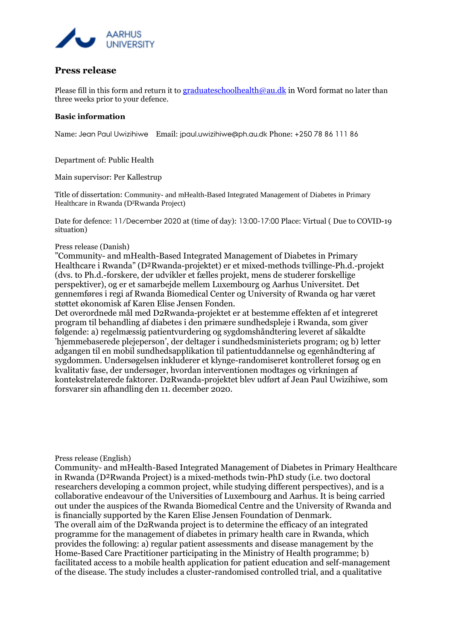

## **Press release**

Please fill in this form and return it to [graduateschoolhealth@au.dk](mailto:graduateschoolhealth@au.dk) in Word format no later than three weeks prior to your defence.

## **Basic information**

Name: Jean Paul Uwizihiwe Email: jpaul.uwizihiwe@ph.au.dk Phone: +250 78 86 111 86

Department of: Public Health

Main supervisor: Per Kallestrup

Title of dissertation: Community- and mHealth-Based Integrated Management of Diabetes in Primary Healthcare in Rwanda (D²Rwanda Project)

Date for defence: 11/December 2020 at (time of day): 13:00-17:00 Place: Virtual ( Due to COVID-19 situation)

## Press release (Danish)

"Community- and mHealth-Based Integrated Management of Diabetes in Primary Healthcare i Rwanda" (D²Rwanda-projektet) er et mixed-methods tvillinge-Ph.d.-projekt (dvs. to Ph.d.-forskere, der udvikler et fælles projekt, mens de studerer forskellige perspektiver), og er et samarbejde mellem Luxembourg og Aarhus Universitet. Det gennemføres i regi af Rwanda Biomedical Center og University of Rwanda og har været støttet økonomisk af Karen Elise Jensen Fonden.

Det overordnede mål med D2Rwanda-projektet er at bestemme effekten af et integreret program til behandling af diabetes i den primære sundhedspleje i Rwanda, som giver følgende: a) regelmæssig patientvurdering og sygdomshåndtering leveret af såkaldte 'hjemmebaserede plejeperson', der deltager i sundhedsministeriets program; og b) letter adgangen til en mobil sundhedsapplikation til patientuddannelse og egenhåndtering af sygdommen. Undersøgelsen inkluderer et klynge-randomiseret kontrolleret forsøg og en kvalitativ fase, der undersøger, hvordan interventionen modtages og virkningen af kontekstrelaterede faktorer. D2Rwanda-projektet blev udført af Jean Paul Uwizihiwe, som forsvarer sin afhandling den 11. december 2020.

Press release (English)

Community- and mHealth-Based Integrated Management of Diabetes in Primary Healthcare in Rwanda (D²Rwanda Project) is a mixed-methods twin-PhD study (i.e. two doctoral researchers developing a common project, while studying different perspectives), and is a collaborative endeavour of the Universities of Luxembourg and Aarhus. It is being carried out under the auspices of the Rwanda Biomedical Centre and the University of Rwanda and is financially supported by the Karen Elise Jensen Foundation of Denmark. The overall aim of the D2Rwanda project is to determine the efficacy of an integrated programme for the management of diabetes in primary health care in Rwanda, which provides the following: a) regular patient assessments and disease management by the Home-Based Care Practitioner participating in the Ministry of Health programme; b) facilitated access to a mobile health application for patient education and self-management of the disease. The study includes a cluster-randomised controlled trial, and a qualitative